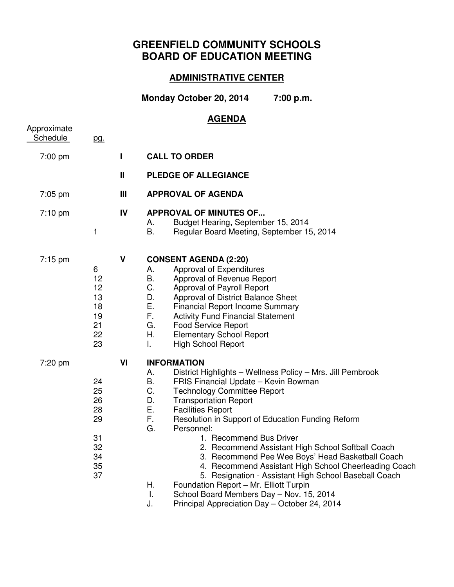## **GREENFIELD COMMUNITY SCHOOLS BOARD OF EDUCATION MEETING**

## **ADMINISTRATIVE CENTER**

**Monday October 20, 2014 7:00 p.m.** 

## **AGENDA**

| Approximate<br>Schedule | pg.                                                      |             |                                                                                                                                                                                                                                                                                                                                                                                                                                                                                                                                                                                                                                                                                                                                                        |
|-------------------------|----------------------------------------------------------|-------------|--------------------------------------------------------------------------------------------------------------------------------------------------------------------------------------------------------------------------------------------------------------------------------------------------------------------------------------------------------------------------------------------------------------------------------------------------------------------------------------------------------------------------------------------------------------------------------------------------------------------------------------------------------------------------------------------------------------------------------------------------------|
| 7:00 pm                 |                                                          | I           | <b>CALL TO ORDER</b>                                                                                                                                                                                                                                                                                                                                                                                                                                                                                                                                                                                                                                                                                                                                   |
|                         |                                                          | $\mathbf l$ | <b>PLEDGE OF ALLEGIANCE</b>                                                                                                                                                                                                                                                                                                                                                                                                                                                                                                                                                                                                                                                                                                                            |
| $7:05$ pm               |                                                          | Ш           | <b>APPROVAL OF AGENDA</b>                                                                                                                                                                                                                                                                                                                                                                                                                                                                                                                                                                                                                                                                                                                              |
| $7:10 \text{ pm}$       | 1                                                        | IV          | <b>APPROVAL OF MINUTES OF</b><br>Budget Hearing, September 15, 2014<br>А.<br><b>B.</b><br>Regular Board Meeting, September 15, 2014                                                                                                                                                                                                                                                                                                                                                                                                                                                                                                                                                                                                                    |
| $7:15$ pm               | 6<br>12<br>12<br>13<br>18<br>19<br>21<br>22<br>23        | V           | <b>CONSENT AGENDA (2:20)</b><br>Approval of Expenditures<br>А.<br>Β.<br>Approval of Revenue Report<br>C.<br>Approval of Payroll Report<br>D.<br>Approval of District Balance Sheet<br>Ε.<br><b>Financial Report Income Summary</b><br>F.<br><b>Activity Fund Financial Statement</b><br>G.<br><b>Food Service Report</b><br>Η.<br><b>Elementary School Report</b><br>I.<br><b>High School Report</b>                                                                                                                                                                                                                                                                                                                                                   |
| 7:20 pm                 | 24<br>25<br>26<br>28<br>29<br>31<br>32<br>34<br>35<br>37 | VI          | <b>INFORMATION</b><br>District Highlights - Wellness Policy - Mrs. Jill Pembrook<br>А.<br>B.<br>FRIS Financial Update - Kevin Bowman<br>C.<br><b>Technology Committee Report</b><br>D.<br><b>Transportation Report</b><br>Ε.<br><b>Facilities Report</b><br>F.<br>Resolution in Support of Education Funding Reform<br>G.<br>Personnel:<br>1. Recommend Bus Driver<br>2. Recommend Assistant High School Softball Coach<br>3. Recommend Pee Wee Boys' Head Basketball Coach<br>4. Recommend Assistant High School Cheerleading Coach<br>5. Resignation - Assistant High School Baseball Coach<br>Η.<br>Foundation Report - Mr. Elliott Turpin<br>Τ.<br>School Board Members Day - Nov. 15, 2014<br>J.<br>Principal Appreciation Day - October 24, 2014 |